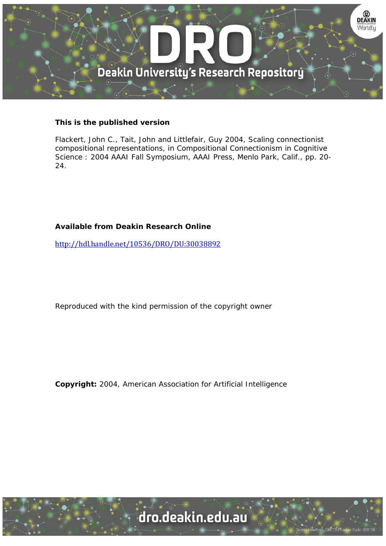

### **This is the published version**

Flackert, John C., Tait, John and Littlefair, Guy 2004, Scaling connectionist compositional representations, in Compositional Connectionism in Cognitive Science : 2004 AAAI Fall Symposium, AAAI Press, Menlo Park, Calif., pp. 20- 24.

## **Available from Deakin Research Online**

http://hdl.handle.net/10536/DRO/DU:30038892

Reproduced with the kind permission of the copyright owner

**Copyright:** 2004, American Association for Artificial Intelligence

University CRICOS Provider Code: 00113B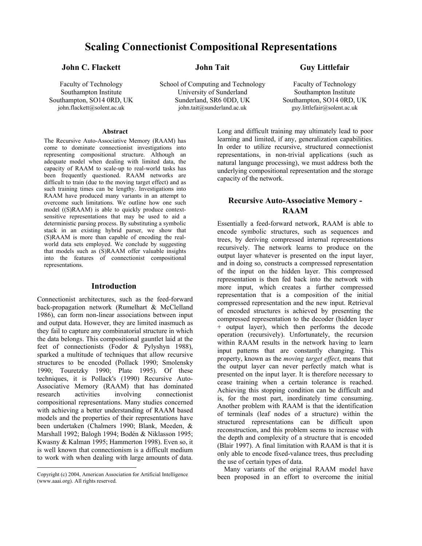# **Scaling Connectionist Compositional Representations**

**John Tait** 

**John C. Flackett** 

Faculty of Technology Southampton Institute Southampton, SO14 0RD, UK john.flackett@solent.ac.uk

#### **Abstract**

The Recursive Auto-Associative Memory (RAAM) has come to dominate connectionist investigations into representing compositional structure. Although an adequate model when dealing with limited data, the capacity of RAAM to scale-up to real-world tasks has been frequently questioned. RAAM networks are difficult to train (due to the moving target effect) and as such training times can be lengthy. Investigations into RAAM have produced many variants in an attempt to overcome such limitations. We outline how one such model ((S)RAAM) is able to quickly produce contextsensitive representations that may be used to aid a deterministic parsing process. By substituting a symbolic stack in an existing hybrid parser, we show that (S)RAAM is more than capable of encoding the realworld data sets employed. We conclude by suggesting that models such as (S)RAAM offer valuable insights into the features of connectionist compositional representations.

#### **Introduction**

Connectionist architectures, such as the feed-forward back-propagation network (Rumelhart & McClelland 1986), can form non-linear associations between input and output data. However, they are limited inasmuch as they fail to capture any combinatorial structure in which the data belongs. This compositional gauntlet laid at the feet of connectionists (Fodor & Pylyshyn 1988), sparked a multitude of techniques that allow recursive structures to be encoded (Pollack 1990; Smolensky 1990; Touretzky 1990; Plate 1995). Of these techniques, it is Pollack's (1990) Recursive Auto-Associative Memory (RAAM) that has dominated research activities involving connectionist compositional representations. Many studies concerned with achieving a better understanding of RAAM based models and the properties of their representations have been undertaken (Chalmers 1990; Blank, Meeden, & Marshall 1992; Balogh 1994; Bodén & Niklasson 1995; Kwasny & Kalman 1995; Hammerton 1998). Even so, it is well known that connectionism is a difficult medium to work with when dealing with large amounts of data.

 $\overline{a}$ 

School of Computing and Technology University of Sunderland Sunderland, SR6 0DD, UK john.tait@sunderland.ac.uk

### **Guy Littlefair**

Faculty of Technology Southampton Institute Southampton, SO14 0RD, UK guy.littlefair@solent.ac.uk

Long and difficult training may ultimately lead to poor learning and limited, if any, generalization capabilities. In order to utilize recursive, structured connectionist representations, in non-trivial applications (such as natural language processing), we must address both the underlying compositional representation and the storage capacity of the network.

### **Recursive Auto-Associative Memory - RAAM**

Essentially a feed-forward network, RAAM is able to encode symbolic structures, such as sequences and trees, by deriving compressed internal representations recursively. The network learns to produce on the output layer whatever is presented on the input layer, and in doing so, constructs a compressed representation of the input on the hidden layer. This compressed representation is then fed back into the network with more input, which creates a further compressed representation that is a composition of the initial compressed representation and the new input. Retrieval of encoded structures is achieved by presenting the compressed representation to the decoder (hidden layer + output layer), which then performs the decode operation (recursively). Unfortunately, the recursion within RAAM results in the network having to learn input patterns that are constantly changing. This property, known as the *moving target effect*, means that the output layer can never perfectly match what is presented on the input layer. It is therefore necessary to cease training when a certain tolerance is reached. Achieving this stopping condition can be difficult and is, for the most part, inordinately time consuming. Another problem with RAAM is that the identification of terminals (leaf nodes of a structure) within the structured representations can be difficult upon reconstruction, and this problem seems to increase with the depth and complexity of a structure that is encoded (Blair 1997). A final limitation with RAAM is that it is only able to encode fixed-valance trees, thus precluding the use of certain types of data.

 Many variants of the original RAAM model have been proposed in an effort to overcome the initial

<span id="page-1-0"></span>Copyright (c) 2004, American Association for Artificial Intelligence (www.aaai.org). All rights reserved.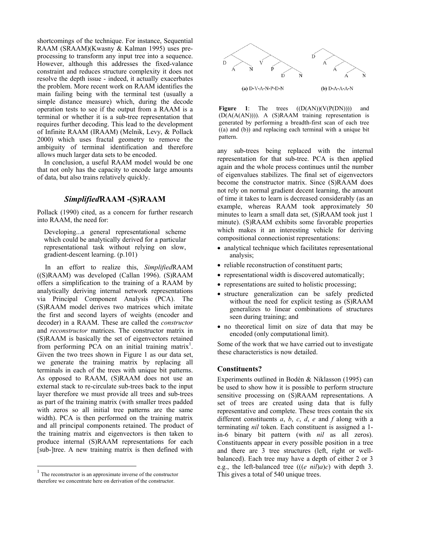shortcomings of the technique. For instance, Sequential RAAM (SRAAM)(Kwasny & Kalman 1995) uses preprocessing to transform any input tree into a sequence. However, although this addresses the fixed-valance constraint and reduces structure complexity it does not resolve the depth issue - indeed, it actually exacerbates the problem. More recent work on RAAM identifies the main failing being with the terminal test (usually a simple distance measure) which, during the decode operation tests to see if the output from a RAAM is a terminal or whether it is a sub-tree representation that requires further decoding. This lead to the development of Infinite RAAM (IRAAM) (Melnik, Levy, & Pollack 2000) which uses fractal geometry to remove the ambiguity of terminal identification and therefore allows much larger data sets to be encoded.

In conclusion, a useful RAAM model would be one that not only has the capacity to encode large amounts of data, but also trains relatively quickly.

### *Simplified***RAAM -(S)RAAM**

Pollack (1990) cited, as a concern for further research into RAAM, the need for:

Developing...a general representational scheme which could be analytically derived for a particular representational task without relying on slow, gradient-descent learning. (p.101)

In an effort to realize this, *Simplified*RAAM ((S)RAAM) was developed (Callan 1996). (S)RAAM offers a simplification to the training of a RAAM by analytically deriving internal network representations via Principal Component Analysis (PCA). The (S)RAAM model derives two matrices which imitate the first and second layers of weights (encoder and decoder) in a RAAM. These are called the *constructor* and *reconstructor* matrices. The constructor matrix in (S)RAAM is basically the set of eigenvectors retained from performing PCA on an initial training matrix<sup>[1](#page-2-0)</sup>. Given the two trees shown in Figure 1 as our data set, we generate the training matrix by replacing all terminals in each of the trees with unique bit patterns. As opposed to RAAM, (S)RAAM does not use an external stack to re-circulate sub-trees back to the input layer therefore we must provide all trees and sub-trees as part of the training matrix (with smaller trees padded with zeros so all initial tree patterns are the same width). PCA is then performed on the training matrix and all principal components retained. The product of the training matrix and eigenvectors is then taken to produce internal (S)RAAM representations for each [sub-]tree. A new training matrix is then defined with

 $\overline{a}$ 



Figure 1: The trees  $((D(AN))(V(P(DN))))$  and (D(A(A(AN)))). A (S)RAAM training representation is generated by performing a breadth-first scan of each tree ((a) and (b)) and replacing each terminal with a unique bit pattern.

any sub-trees being replaced with the internal representation for that sub-tree. PCA is then applied again and the whole process continues until the number of eigenvalues stabilizes. The final set of eigenvectors become the constructor matrix. Since (S)RAAM does not rely on normal gradient decent learning, the amount of time it takes to learn is decreased considerably (as an example, whereas RAAM took approximately 50 minutes to learn a small data set, (S)RAAM took just 1 minute). (S)RAAM exhibits some favorable properties which makes it an interesting vehicle for deriving compositional connectionist representations:

- analytical technique which facilitates representational analysis;
- reliable reconstruction of constituent parts;
- representational width is discovered automatically;
- representations are suited to holistic processing;
- structure generalization can be safely predicted without the need for explicit testing as (S)RAAM generalizes to linear combinations of structures seen during training; and
- no theoretical limit on size of data that may be encoded (only computational limit).

Some of the work that we have carried out to investigate these characteristics is now detailed.

#### **Constituents?**

Experiments outlined in Bodén & Niklasson (1995) can be used to show how it is possible to perform structure sensitive processing on (S)RAAM representations. A set of trees are created using data that is fully representative and complete. These trees contain the six different constituents *a*, *b*, *c*, *d*, *e* and *f* along with a terminating *nil* token. Each constituent is assigned a 1 in-6 binary bit pattern (with *nil* as all zeros). Constituents appear in every possible position in a tree and there are 3 tree structures (left, right or wellbalanced). Each tree may have a depth of either 2 or 3 e.g., the left-balanced tree (((*e nil*)*a*)*c*) with depth 3. This gives a total of 540 unique trees.

<span id="page-2-0"></span><sup>&</sup>lt;sup>1</sup> The reconstructor is an approximate inverse of the constructor therefore we concentrate here on derivation of the constructor.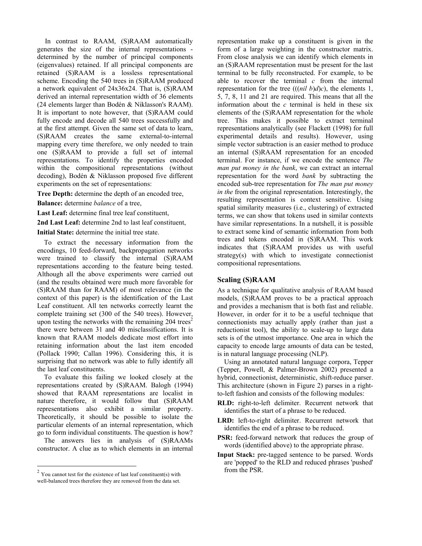In contrast to RAAM, (S)RAAM automatically generates the size of the internal representations determined by the number of principal components (eigenvalues) retained. If all principal components are retained (S)RAAM is a lossless representational scheme. Encoding the 540 trees in (S)RAAM produced a network equivalent of 24x36x24. That is, (S)RAAM derived an internal representation width of 36 elements (24 elements larger than Bodén & Niklasson's RAAM). It is important to note however, that (S)RAAM could fully encode and decode all 540 trees successfully and at the first attempt. Given the same set of data to learn, (S)RAAM creates the same external-to-internal mapping every time therefore, we only needed to train one (S)RAAM to provide a full set of internal representations. To identify the properties encoded within the compositional representations (without decoding), Bodén & Niklasson proposed five different experiments on the set of representations:

**Tree Depth:** determine the depth of an encoded tree,

**Balance:** determine *balance* of a tree,

**Last Leaf:** determine final tree leaf constituent,

**2nd Last Leaf:** determine 2nd to last leaf constituent,

**Initial State:** determine the initial tree state.

To extract the necessary information from the encodings, 10 feed-forward, backpropagation networks were trained to classify the internal (S)RAAM representations according to the feature being tested. Although all the above experiments were carried out (and the results obtained were much more favorable for (S)RAAM than for RAAM) of most relevance (in the context of this paper) is the identification of the Last Leaf constituent. All ten networks correctly learnt the complete training set (300 of the 540 trees). However, upon testing the networks with the remaining  $204$  $204$  trees<sup>2</sup> there were between 31 and 40 misclassifications. It is known that RAAM models dedicate most effort into retaining information about the last item encoded (Pollack 1990; Callan 1996). Considering this, it is surprising that no network was able to fully identify all the last leaf constituents.

To evaluate this failing we looked closely at the representations created by (S)RAAM. Balogh (1994) showed that RAAM representations are localist in nature therefore, it would follow that (S)RAAM representations also exhibit a similar property. Theoretically, it should be possible to isolate the particular elements of an internal representation, which go to form individual constituents. The question is how?

The answers lies in analysis of (S)RAAMs constructor. A clue as to which elements in an internal

 $\overline{a}$ 

representation make up a constituent is given in the form of a large weighting in the constructor matrix. From close analysis we can identify which elements in an (S)RAAM representation must be present for the last terminal to be fully reconstructed. For example, to be able to recover the terminal *c* from the internal representation for the tree  $(((nil b)d)c)$ , the elements 1, 5, 7, 8, 11 and 21 are required. This means that all the information about the *c* terminal is held in these six elements of the (S)RAAM representation for the whole tree. This makes it possible to extract terminal representations analytically (see Flackett (1998) for full experimental details and results). However, using simple vector subtraction is an easier method to produce an internal (S)RAAM representation for an encoded terminal. For instance, if we encode the sentence *The man put money in the bank*, we can extract an internal representation for the word *bank* by subtracting the encoded sub-tree representation for *The man put money in the* from the original representation. Interestingly, the resulting representation is context sensitive. Using spatial similarity measures (i.e., clustering) of extracted terms, we can show that tokens used in similar contexts have similar representations. In a nutshell, it is possible to extract some kind of semantic information from both trees and tokens encoded in (S)RAAM. This work indicates that (S)RAAM provides us with useful strategy(s) with which to investigate connectionist compositional representations.

### **Scaling (S)RAAM**

As a technique for qualitative analysis of RAAM based models, (S)RAAM proves to be a practical approach and provides a mechanism that is both fast and reliable. However, in order for it to be a useful technique that connectionists may actually apply (rather than just a reductionist tool), the ability to scale-up to large data sets is of the utmost importance. One area in which the capacity to encode large amounts of data can be tested, is in natural language processing (NLP).

Using an annotated natural language corpora, Tepper (Tepper, Powell, & Palmer-Brown 2002) presented a hybrid, connectionist, deterministic, shift-reduce parser. This architecture (shown in Figure 2) parses in a rightto-left fashion and consists of the following modules:

- **RLD:** right-to-left delimiter. Recurrent network that identifies the start of a phrase to be reduced.
- **LRD:** left-to-right delimiter. Recurrent network that identifies the end of a phrase to be reduced.
- **PSR:** feed-forward network that reduces the group of words (identified above) to the appropriate phrase.
- **Input Stack:** pre-tagged sentence to be parsed. Words are 'popped' to the RLD and reduced phrases 'pushed' from the PSR.

<span id="page-3-0"></span> $2$  You cannot test for the existence of last leaf constituent(s) with well-balanced trees therefore they are removed from the data set.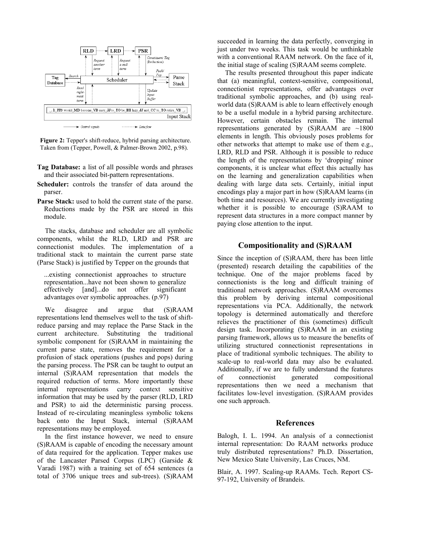

**Figure 2:** Tepper's shift-reduce, hybrid parsing architecture. Taken from (Tepper, Powell, & Palmer-Brown 2002, p.98).

- **Tag Database:** a list of all possible words and phrases and their associated bit-pattern representations.
- **Scheduler:** controls the transfer of data around the parser.
- **Parse Stack:** used to hold the current state of the parse. Reductions made by the PSR are stored in this module.

The stacks, database and scheduler are all symbolic components, whilst the RLD, LRD and PSR are connectionist modules. The implementation of a traditional stack to maintain the current parse state (Parse Stack) is justified by Tepper on the grounds that

...existing connectionist approaches to structure representation...have not been shown to generalize effectively [and]...do not offer significant advantages over symbolic approaches. (p.97)

We disagree and argue that (S)RAAM representations lend themselves well to the task of shiftreduce parsing and may replace the Parse Stack in the current architecture. Substituting the traditional symbolic component for (S)RAAM in maintaining the current parse state, removes the requirement for a profusion of stack operations (pushes and pops) during the parsing process. The PSR can be taught to output an internal (S)RAAM representation that models the required reduction of terms. More importantly these internal representations carry context sensitive information that may be used by the parser (RLD, LRD and PSR) to aid the deterministic parsing process. Instead of re-circulating meaningless symbolic tokens back onto the Input Stack, internal (S)RAAM representations may be employed.

In the first instance however, we need to ensure (S)RAAM is capable of encoding the necessary amount of data required for the application. Tepper makes use of the Lancaster Parsed Corpus (LPC) (Garside & Varadi 1987) with a training set of 654 sentences (a total of 3706 unique trees and sub-trees). (S)RAAM succeeded in learning the data perfectly, converging in just under two weeks. This task would be unthinkable with a conventional RAAM network. On the face of it, the initial stage of scaling (S)RAAM seems complete.

The results presented throughout this paper indicate that (a) meaningful, context-sensitive, compositional, connectionist representations, offer advantages over traditional symbolic approaches, and (b) using realworld data (S)RAAM is able to learn effectively enough to be a useful module in a hybrid parsing architecture. However, certain obstacles remain. The internal representations generated by (S)RAAM are ~1800 elements in length. This obviously poses problems for other networks that attempt to make use of them e.g., LRD, RLD and PSR. Although it is possible to reduce the length of the representations by 'dropping' minor components, it is unclear what effect this actually has on the learning and generalization capabilities when dealing with large data sets. Certainly, initial input encodings play a major part in how (S)RAAM learns (in both time and resources). We are currently investigating whether it is possible to encourage (S)RAAM to represent data structures in a more compact manner by paying close attention to the input.

### **Compositionality and (S)RAAM**

Since the inception of (S)RAAM, there has been little (presented) research detailing the capabilities of the technique. One of the major problems faced by connectionists is the long and difficult training of traditional network approaches. (S)RAAM overcomes this problem by deriving internal compositional representations via PCA. Additionally, the network topology is determined automatically and therefore relieves the practitioner of this (sometimes) difficult design task. Incorporating (S)RAAM in an existing parsing framework, allows us to measure the benefits of utilizing structured connectionist representations in place of traditional symbolic techniques. The ability to scale-up to real-world data may also be evaluated. Additionally, if we are to fully understand the features of connectionist generated compositional representations then we need a mechanism that facilitates low-level investigation. (S)RAAM provides one such approach.

### **References**

Balogh, I. L. 1994. An analysis of a connectionist internal representation: Do RAAM networks produce truly distributed representations? Ph.D. Dissertation, New Mexico State University, Las Cruces, NM.

Blair, A. 1997. Scaling-up RAAMs. Tech. Report CS-97-192, University of Brandeis.